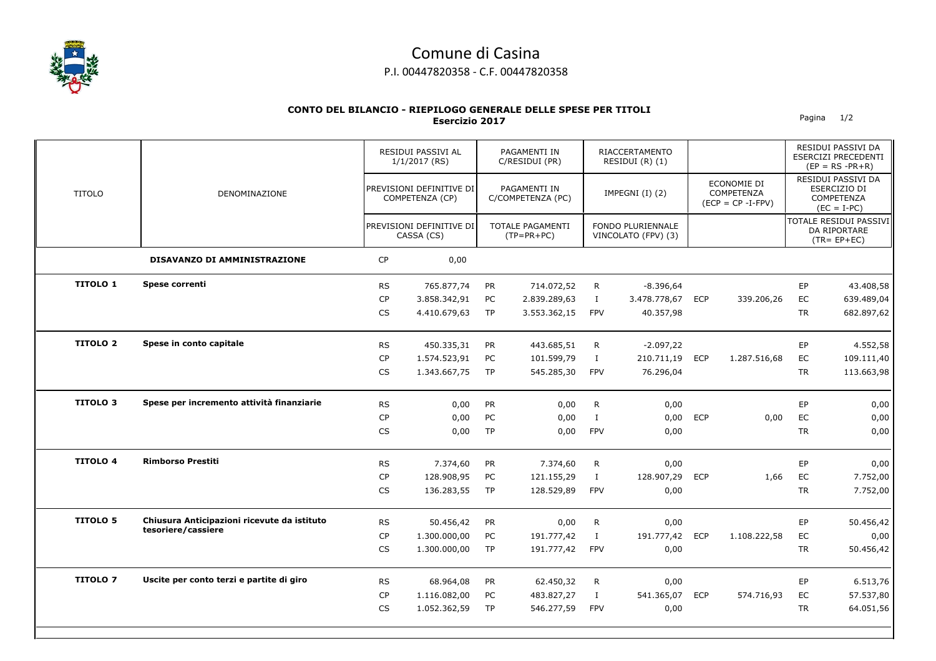

## Comune di Casina P.I. 00447820358 - C.F. 00447820358

## **CONTO DEL BILANCIO - RIEPILOGO GENERALE DELLE SPESE PER TITOLI Esercizio 2017** Pagina 1/2

|                 |                                             |           | RESIDUI PASSIVI AL<br>1/1/2017 (RS)<br>PREVISIONI DEFINITIVE DI<br>COMPETENZA (CP)<br>PREVISIONI DEFINITIVE DI<br>CASSA (CS) |           | PAGAMENTI IN<br>C/RESIDUI (PR)<br>PAGAMENTI IN<br>C/COMPETENZA (PC)<br><b>TOTALE PAGAMENTI</b><br>$(TP = PR + PC)$ |              | <b>RIACCERTAMENTO</b><br>RESIDUI (R) (1)<br>IMPEGNI (I) (2)<br>FONDO PLURIENNALE<br>VINCOLATO (FPV) (3) |            |                                                   |           | RESIDUI PASSIVI DA<br>ESERCIZI PRECEDENTI<br>$(EP = RS - PR + R)$                                                                      |  |
|-----------------|---------------------------------------------|-----------|------------------------------------------------------------------------------------------------------------------------------|-----------|--------------------------------------------------------------------------------------------------------------------|--------------|---------------------------------------------------------------------------------------------------------|------------|---------------------------------------------------|-----------|----------------------------------------------------------------------------------------------------------------------------------------|--|
| <b>TITOLO</b>   | DENOMINAZIONE                               |           |                                                                                                                              |           |                                                                                                                    |              |                                                                                                         |            | ECONOMIE DI<br>COMPETENZA<br>$(ECP = CP - I-FPV)$ |           | RESIDUI PASSIVI DA<br>ESERCIZIO DI<br><b>COMPETENZA</b><br>$(EC = I-PC)$<br>TOTALE RESIDUI PASSIVI<br>DA RIPORTARE<br>$(TR = EP + EC)$ |  |
|                 |                                             |           |                                                                                                                              |           |                                                                                                                    |              |                                                                                                         |            |                                                   |           |                                                                                                                                        |  |
|                 | DISAVANZO DI AMMINISTRAZIONE                | <b>CP</b> | 0,00                                                                                                                         |           |                                                                                                                    |              |                                                                                                         |            |                                                   |           |                                                                                                                                        |  |
| <b>TITOLO 1</b> | Spese correnti                              | <b>RS</b> | 765.877,74                                                                                                                   | <b>PR</b> | 714.072,52                                                                                                         | R            | $-8.396,64$                                                                                             |            |                                                   | EP        | 43.408,58                                                                                                                              |  |
|                 |                                             | <b>CP</b> | 3.858.342,91                                                                                                                 | PC        | 2.839.289,63                                                                                                       | $\bf{I}$     | 3.478.778,67                                                                                            | <b>ECP</b> | 339.206,26                                        | EC        | 639.489,04                                                                                                                             |  |
|                 |                                             | CS.       | 4.410.679,63                                                                                                                 | <b>TP</b> | 3.553.362,15                                                                                                       | <b>FPV</b>   | 40.357,98                                                                                               |            |                                                   | <b>TR</b> | 682.897,62                                                                                                                             |  |
| <b>TITOLO 2</b> | Spese in conto capitale                     | <b>RS</b> | 450.335,31                                                                                                                   | <b>PR</b> | 443.685,51                                                                                                         | R            | $-2.097,22$                                                                                             |            |                                                   | EP        | 4.552,58                                                                                                                               |  |
|                 |                                             | <b>CP</b> | 1.574.523,91                                                                                                                 | PC        | 101.599,79                                                                                                         | $\bf{I}$     | 210.711,19                                                                                              | <b>ECP</b> | 1.287.516,68                                      | EC        | 109.111,40                                                                                                                             |  |
|                 |                                             | <b>CS</b> | 1.343.667,75                                                                                                                 | <b>TP</b> | 545.285,30                                                                                                         | <b>FPV</b>   | 76.296,04                                                                                               |            |                                                   | <b>TR</b> | 113.663,98                                                                                                                             |  |
| <b>TITOLO 3</b> | Spese per incremento attività finanziarie   | <b>RS</b> | 0,00                                                                                                                         | <b>PR</b> | 0,00                                                                                                               | R            | 0,00                                                                                                    |            |                                                   | EP        | 0,00                                                                                                                                   |  |
|                 |                                             | <b>CP</b> | 0,00                                                                                                                         | PC        | 0,00                                                                                                               | $\mathbf{I}$ | 0,00                                                                                                    | <b>ECP</b> | 0,00                                              | EC        | 0,00                                                                                                                                   |  |
|                 |                                             | <b>CS</b> | 0,00                                                                                                                         | <b>TP</b> | 0,00                                                                                                               | <b>FPV</b>   | 0,00                                                                                                    |            |                                                   | <b>TR</b> | 0,00                                                                                                                                   |  |
| <b>TITOLO 4</b> | <b>Rimborso Prestiti</b>                    | <b>RS</b> | 7.374,60                                                                                                                     | <b>PR</b> | 7.374,60                                                                                                           | $\mathsf{R}$ | 0,00                                                                                                    |            |                                                   | EP        | 0,00                                                                                                                                   |  |
|                 |                                             | <b>CP</b> | 128.908,95                                                                                                                   | PC        | 121.155,29                                                                                                         | $\bf{I}$     | 128.907,29                                                                                              | <b>ECP</b> | 1,66                                              | EC        | 7.752,00                                                                                                                               |  |
|                 |                                             | CS        | 136.283,55                                                                                                                   | <b>TP</b> | 128.529,89                                                                                                         | <b>FPV</b>   | 0,00                                                                                                    |            |                                                   | <b>TR</b> | 7.752,00                                                                                                                               |  |
| <b>TITOLO 5</b> | Chiusura Anticipazioni ricevute da istituto | <b>RS</b> | 50.456,42                                                                                                                    | PR        | 0,00                                                                                                               | $\mathsf{R}$ | 0,00                                                                                                    |            |                                                   | EP        | 50.456,42                                                                                                                              |  |
|                 | tesoriere/cassiere                          | <b>CP</b> | 1.300.000,00                                                                                                                 | PC        | 191.777,42                                                                                                         | $\bf{I}$     | 191.777,42 ECP                                                                                          |            | 1.108.222,58                                      | EC        | 0,00                                                                                                                                   |  |
|                 |                                             | <b>CS</b> | 1.300.000,00                                                                                                                 | <b>TP</b> | 191.777,42                                                                                                         | <b>FPV</b>   | 0,00                                                                                                    |            |                                                   | <b>TR</b> | 50.456,42                                                                                                                              |  |
| <b>TITOLO 7</b> | Uscite per conto terzi e partite di giro    | <b>RS</b> | 68.964,08                                                                                                                    | <b>PR</b> | 62.450,32                                                                                                          | R            | 0,00                                                                                                    |            |                                                   | EP        | 6.513,76                                                                                                                               |  |
|                 |                                             | <b>CP</b> | 1.116.082,00                                                                                                                 | PC        | 483.827,27                                                                                                         | $\mathbf{I}$ | 541.365,07 ECP                                                                                          |            | 574.716,93                                        | EC        | 57.537,80                                                                                                                              |  |
|                 |                                             | <b>CS</b> | 1.052.362,59                                                                                                                 | <b>TP</b> | 546.277,59                                                                                                         | <b>FPV</b>   | 0,00                                                                                                    |            |                                                   | <b>TR</b> | 64.051,56                                                                                                                              |  |
|                 |                                             |           |                                                                                                                              |           |                                                                                                                    |              |                                                                                                         |            |                                                   |           |                                                                                                                                        |  |